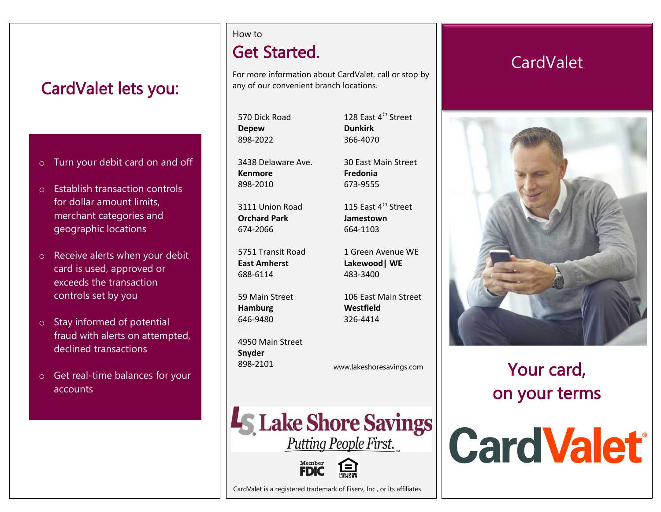# CardValet lets you:

- o Turn your debit card on and off
- o Establish transaction controls for dollar amount limits, merchant categories and geographic locations
- o Receive alerts when your debit card is used, approved or exceeds the transaction controls set by you
- o Stay informed of potential fraud with alerts on attempted, declined transactions
- o Get real-time balances for your accounts

#### How to

# Get Started.

For more information about CardValet, call or stop by any of our convenient branch locations.

570 Dick Road **Depew Dunkirk** 898-2022 366-4070

3438 Delaware Ave. 30 East Main Street **Kenmore Fredonia** 898-2010 673-9555

**Orchard Park Jamestown** 674-2066 664-1103

**East Amherst Lakewood| WE** 688-6114 483-3400

**Hamburg Westfield** 646-9480 326-4414

4950 Main Street **Snyder** 898-2101 www.lakeshoresavings.com

128 East 4<sup>th</sup> Street

3111 Union Road  $115$  Fast  $4^{\text{th}}$  Street

5751 Transit Road 1 Green Avenue WE

59 Main Street 106 East Main Street

**CardValet** 



Your card, on your terms



CardValet is a registered trademark of Fiserv, Inc., or its affiliates.

Member<br>**FDIC** 

**LS Lake Shore Savings** 

Putting People First.